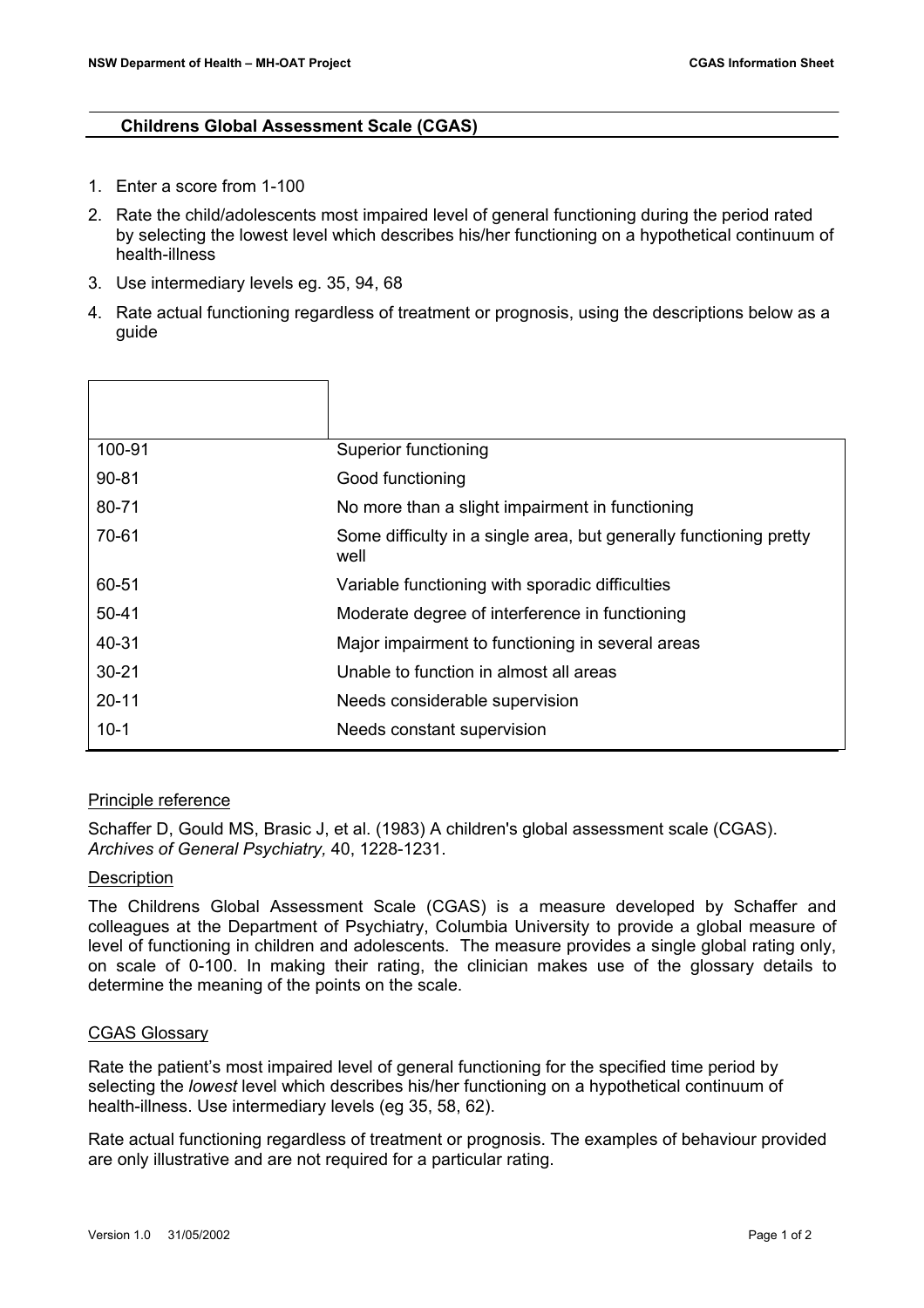## **Childrens Global Assessment Scale (CGAS)**

- 1. Enter a score from 1-100
- 2. Rate the child/adolescents most impaired level of general functioning during the period rated by selecting the lowest level which describes his/her functioning on a hypothetical continuum of health-illness
- 3. Use intermediary levels eg. 35, 94, 68
- 4. Rate actual functioning regardless of treatment or prognosis, using the descriptions below as a guide

| 100-91    | Superior functioning                                                       |
|-----------|----------------------------------------------------------------------------|
| $90 - 81$ | Good functioning                                                           |
| 80-71     | No more than a slight impairment in functioning                            |
| 70-61     | Some difficulty in a single area, but generally functioning pretty<br>well |
| 60-51     | Variable functioning with sporadic difficulties                            |
| $50 - 41$ | Moderate degree of interference in functioning                             |
| 40-31     | Major impairment to functioning in several areas                           |
| $30 - 21$ | Unable to function in almost all areas                                     |
| $20 - 11$ | Needs considerable supervision                                             |
| $10 - 1$  | Needs constant supervision                                                 |

## Principle reference

Schaffer D, Gould MS, Brasic J, et al. (1983) A children's global assessment scale (CGAS). *Archives of General Psychiatry,* 40, 1228-1231.

## **Description**

The Childrens Global Assessment Scale (CGAS) is a measure developed by Schaffer and colleagues at the Department of Psychiatry, Columbia University to provide a global measure of level of functioning in children and adolescents. The measure provides a single global rating only, on scale of 0-100. In making their rating, the clinician makes use of the glossary details to determine the meaning of the points on the scale.

## CGAS Glossary

Rate the patient's most impaired level of general functioning for the specified time period by selecting the *lowest* level which describes his/her functioning on a hypothetical continuum of health-illness. Use intermediary levels (eg 35, 58, 62).

Rate actual functioning regardless of treatment or prognosis. The examples of behaviour provided are only illustrative and are not required for a particular rating.